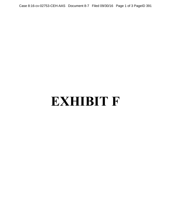Case 8:16-cv-02753-CEH-AAS Document 8-7 Filed 09/30/16 Page 1 of 3 PageID 391

## **EXHIBIT F**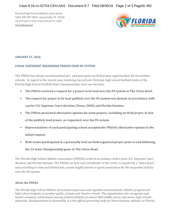Florida High School Athletic Association 1801 NW 80th Blvd., Gainesville, FL 32606 Tel (352)372-9551 Fax (352)373-1528 [www.fhsaa.org](http://www.fhsaa.org/)



## **JANUARY 27, 2016**

## **FHSAA STATEMENT REGARDING PRAYER OVER PA SYSTEM**

The FHSAA has always accommodated pre- and post-game on-field prayer opportunities for its member schools. In regard to the recent issue involving two private Christian high school football teams at the Florida High School Football State Championships, here are the facts:

- **The FHSAA received a request for a prayer to be lead over the PA system at The Citrus Bowl.**
- **The request for prayer to be lead publicly over the PA system was denied, in accordance with a prior U.S. Supreme Court decision (Texas, 2000) and Florida Statutes.**
- **The FHSAA presented alternative options for team prayers, including on-field prayer, in lieu of the publicly lead prayer, as requested, over the PA system.**
- **Representatives of each participating school accepted the FHSAA's alternative options to the initial request.**
- **Both teams participated in a personally lead on-field organized prayer prior to and following**

**the 2A State Championship game at The Citrus Bowl.**

The Florida High School Athletic Association (FHSAA) acted in accordance with a prior U.S. Supreme Court decision and Florida Statutes. The FHSAA, as host and coordinator of the event, is statutorily a "State Actor", and according to state and federal law, cannot legally permit or grant permission for the requested activity over the PA system.

## *About the FHSAA*

*The Florida High School Athletic Association supervises and regulates interscholastic athletic programs for high school students at member public, private and charter schools. The organization also recognizes and honors academic achievement among student-athletes at almost 800 middle, junior and senior high schools statewide. Headquartered in Gainesville, it is the official governing body for interscholastic athletics in Florida.*